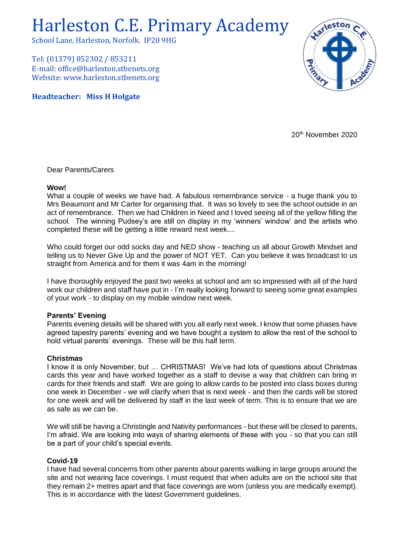# Harleston C.E. Primary Academy

School Lane, Harleston, Norfolk. IP20 9HG

Tel: (01379) 852302 / 853211 E-mail: office@harleston.stbenets.org Website: www.harleston.stbenets.org

**Headteacher: Miss H Holgate**



20th November 2020

Dear Parents/Carers

### **Wow!**

What a couple of weeks we have had. A fabulous remembrance service - a huge thank you to Mrs Beaumont and Mr Carter for organising that. It was so lovely to see the school outside in an act of remembrance. Then we had Children in Need and I loved seeing all of the yellow filling the school. The winning Pudsey's are still on display in my 'winners' window' and the artists who completed these will be getting a little reward next week....

Who could forget our odd socks day and NED show - teaching us all about Growth Mindset and telling us to Never Give Up and the power of NOT YET. Can you believe it was broadcast to us straight from America and for them it was 4am in the morning!

I have thoroughly enjoyed the past two weeks at school and am so impressed with all of the hard work our children and staff have put in - I'm really looking forward to seeing some great examples of your work - to display on my mobile window next week.

## **Parents' Evening**

Parents evening details will be shared with you all early next week. I know that some phases have agreed tapestry parents' evening and we have bought a system to allow the rest of the school to hold virtual parents' evenings. These will be this half term.

## **Christmas**

I know it is only November, but … CHRISTMAS! We've had lots of questions about Christmas cards this year and have worked together as a staff to devise a way that children can bring in cards for their friends and staff. We are going to allow cards to be posted into class boxes during one week in December - we will clarify when that is next week - and then the cards will be stored for one week and will be delivered by staff in the last week of term. This is to ensure that we are as safe as we can be.

We will still be having a Christingle and Nativity performances - but these will be closed to parents, I'm afraid. We are looking into ways of sharing elements of these with you - so that you can still be a part of your child's special events.

## **Covid-19**

I have had several concerns from other parents about parents walking in large groups around the site and not wearing face coverings. I must request that when adults are on the school site that they remain 2+ metres apart and that face coverings are worn (unless you are medically exempt). This is in accordance with the latest Government guidelines.